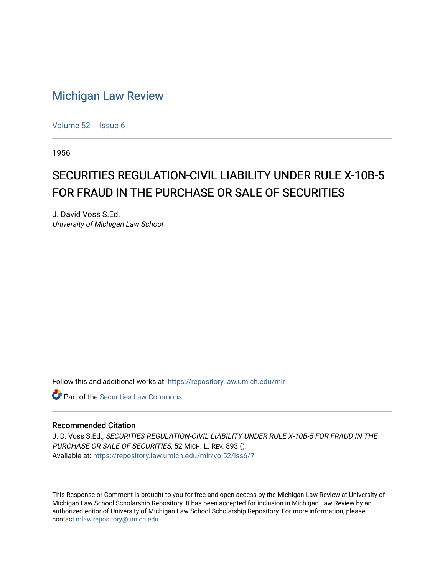## [Michigan Law Review](https://repository.law.umich.edu/mlr)

[Volume 52](https://repository.law.umich.edu/mlr/vol52) | [Issue 6](https://repository.law.umich.edu/mlr/vol52/iss6)

1956

# SECURITIES REGULATION-CIVIL LIABILITY UNDER RULE X-10B-5 FOR FRAUD IN THE PURCHASE OR SALE OF SECURITIES

J. David Voss S.Ed. University of Michigan Law School

Follow this and additional works at: [https://repository.law.umich.edu/mlr](https://repository.law.umich.edu/mlr?utm_source=repository.law.umich.edu%2Fmlr%2Fvol52%2Fiss6%2F7&utm_medium=PDF&utm_campaign=PDFCoverPages) 

**C** Part of the Securities Law Commons

#### Recommended Citation

J. D. Voss S.Ed., SECURITIES REGULATION-CIVIL LIABILITY UNDER RULE X-10B-5 FOR FRAUD IN THE PURCHASE OR SALE OF SECURITIES, 52 MICH. L. REV. 893 (). Available at: [https://repository.law.umich.edu/mlr/vol52/iss6/7](https://repository.law.umich.edu/mlr/vol52/iss6/7?utm_source=repository.law.umich.edu%2Fmlr%2Fvol52%2Fiss6%2F7&utm_medium=PDF&utm_campaign=PDFCoverPages)

This Response or Comment is brought to you for free and open access by the Michigan Law Review at University of Michigan Law School Scholarship Repository. It has been accepted for inclusion in Michigan Law Review by an authorized editor of University of Michigan Law School Scholarship Repository. For more information, please contact [mlaw.repository@umich.edu](mailto:mlaw.repository@umich.edu).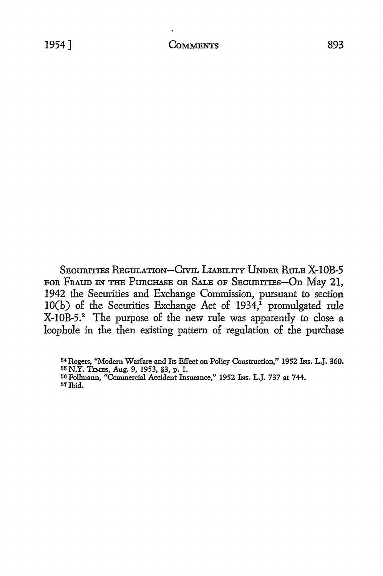SECURITIES REGULATION-CIVIL LIABILITY UNDER RULE X-10B-5 FOR FRAUD IN THE PURCHASE OR SALE OF SECURITIES-On May 21, 1942 the Securities and Exchange Commission, pursuant to section  $10(b)$  of the Securities Exchange Act of  $1934, \frac{1}{1}$  promulgated rule

X-IOB-5.2 The purpose of the new rule was apparently to close a loophole in the then existing pattern of regulation of the purchase

M Rogers, **''Modem Warfare** and Its Effect on Policy Ccmstruction," 1952 INS. L.J. **360.** 

<sup>55</sup> N.Y. TIMEs, Aug. 9, 1953, §3, p. I.

<sup>56</sup> Pollmann, "Commercial Accident Insurance," 1952 INS. L.J. 737 at 744.

<sup>57</sup> Thid.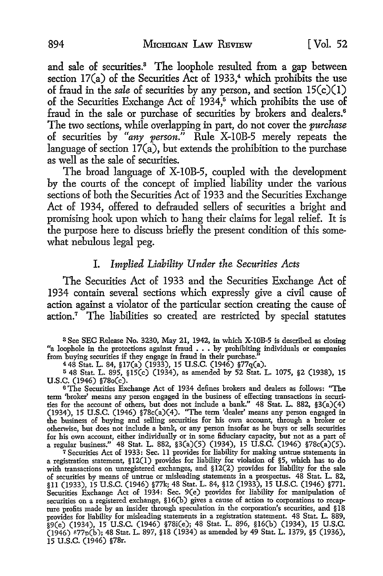and sale of securities.<sup>3</sup> The loophole resulted from a gap between section  $17(a)$  of the Securities Act of 1933,<sup>4</sup> which prohibits the use of fraud in the *sale* of securities by any person, and section 15(c)(l) of the Securities Exchange Act of  $1934$ <sup>5</sup> which prohibits the use of fraud in the sale or purchase of securities by brokers and dealers.<sup>6</sup> The two sections, while overlapping in part, do not cover the *purchase*  of securities by *"any person."* Rule X-IOB-5 merely repeats the language of section  $17(a)$ , but extends the prohibition to the purchase as well as the sale of securities.

The broad language of X-IOB-5, coupled with the development by the courts of the concept of implied liability under the various sections of both the Securities Act of 1933 and the Securities Exchange Act of 1934, offered to defrauded sellers of securities a bright and promising hook upon which to hang their claims for legal relief. It is the purpose here to discuss briefly the present condition of this somewhat nebulous legal peg.

#### I. *Implied Liability Under the Securities Acts*

The Securities Act of 1933 and the Securities Exchange Act of 1934 contain several sections which expressly give a civil cause of action against a violator of the particular section creating the cause of action.7 The liabilities so created are restricted by special statutes

s See SEC Release No. 3230, May 21, 1942, in which X-l0B-5 is described as closing "a loophole in the protections against fraud . . • by prohibiting individuals or companies from buying securities if they engage in fraud in their purchase."

<sup>4</sup>48 Stat. L. 84, §l7(a) (1933), 15 U.S.C. (1946) §77q(a).

<sup>5</sup>48 Stat. L. 895, §15(c) (1934), as amended by 52 Stat. L. 1075, §2 (1938), 15 U.S.C. (1946) §78o(c).

<sup>6</sup>The Securities Exchange Act of 1934 defines brokers and dealers as follows: "The term 'broker' means any person engaged in the business of effecting transactions in securities for the account of others, but does not include a bank." 48 Stat. L. 882, §3(a)(4) (1934), 15 U.S.C. (1946) §78c(a)(4). "The term 'dealer' means any person engaged in the business of buying and selling securities for his own account, through a broker or otherwise, but does not include a bank, or any person insofar as he buys or sells securities for his own account, either individually or in some fiduciary capacity, but not as a part of a regular business." 48 Stat. L. 882, §3(a)(5) (1934), 15 U.S.C. (1946) §78c(a)(5).

7 Securities Act of 1933: Sec. 11 provides for liability for making untrue statements in a registration statement, §12(1) provides for liability for violation of §5, which has to do with transactions on unregistered exchanges, and §12(2) provides for liability for the sale of securities by means of untrue or misleading statements in a prospectus. 48 Stat. L. 82, §11 (1933), 15 U.S.C. (1946) §77k; 48 Stat. L. 84, §12 (1933), 15 U.S.C. (1946) §771. Securities Exchange Act of 1934: Sec. 9(e) provides for liability for manipulation of securities on a registered exchange, §16(b) gives a cause of action to corporations to recapture profits made by an insider through speculation in the corporation's securities, and §18 provides for liability for misleading statements in a registration statement. 48 Stat. L. 889, §9(e) (1934), 15 U.S.C. (1946) §78i(e); 48 Stat. L. 896, §l6(b) (1934), 15 U.S.C.  $(1946)$  877p(b); 48 Stat. L. 897, §18 (1934) as amended by 49 Stat. L. 1379, §5 (1936), 15 U.S.C. (1946) §78r.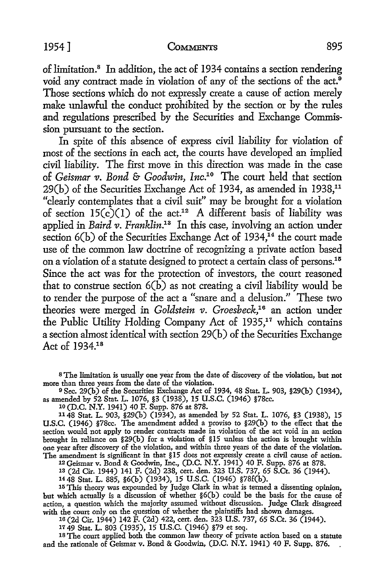of limitation.8 In addition, the act of 1934 contains a section rendering void any contract made in violation of any of the sections of the act.<sup>9</sup> Those sections which do not expressly create a cause of action merely make unlawful the conduct prohibited by the section or by the rules and regulations prescribed by the Securities and Exchange Commission pursuant to the section.

In spite of this absence of express civil liability for violation of most of the sections in each act, the courts have developed an implied civil liability. The first move in this direction was made in the case of *Geismar* 11. *Bond* & *Goodwin, Inc.10* The court held that section 29(b) of the Securities Exchange Act of 1934, as amended in 1938,<sup>11</sup> "clearly contemplates that a civil suit" may be brought for a violation of section  $15(\tilde{c})(1)$  of the act.<sup>12</sup> A different basis of liability was applied in *Baird v. Franklin*.<sup>13</sup> In this case, involving an action under section  $6(b)$  of the Securities Exchange Act of 1934,<sup>14</sup> the court made use of the common law doctrine of recognizing a private action based on a violation of a statute designed to protect a certain class of persons.<sup>15</sup> Since the act was for the protection of investors, the court reasoned that to construe section  $6(\overline{b})$  as not creating a civil liability would be to render the purpose of the act a "snare and a delusion." These two theories were merged in *Goldstein v. Groesbeck*,<sup>16</sup> an action under the Public Utility Holding Company Act of 1935,<sup>17</sup> which contains a section almost identical with section 29(b) of the Securities Exchange Act of 1934.18

s The limitation is usually one year from the date of discovery of the violation, but not more than three years from the date of the violation.

<sup>9</sup>Sec. 29(b) of the Securities Exchange Act of 1934, 48 Stat. L. 903, §29(b) (1934), as amended by 52 Stat. L. 1076, §3 (1938), 15 U.S.C. (1946) §78cc.

10 (D.C. N.Y. 1941) 40 F. Supp. 876 at 878.

1148 Stat. L. 903, §29(b) (1934), as amended by 52 Stat. L. 1076, §3 (1938), 15 U.S.C. (1946) §78cc. The amendment added a proviso to §29(b) to the effect that the section would not apply to render contracts made in violation of the act void in an action brought in reliance on §29(b) for a violation of §15 unless the action is brought within one year after discovery of the violation, and within three years of the date of the violation. The amendment is significant in that §15 does not expressly create a civil cause of action.

12 Geismar v. Bond & Goodwin, Inc., (D.C. N.Y. 1941) 40 F. Supp. 876 at 878. 1s (2d Cir. 1944) 141 F. (2d) 238, cert. den. 323 U.S. 737, 65 S.Ct. 36 (1944).

<sup>14</sup>48 Stat. L. 885, §6(b) (1934), 15 U.S.C. (1946) §78f(h).

15 This theory was expounded by Judge Clark in what is termed a dissenting opinion, but which actually is a discussion of whether §6(b) could be the basis for the cause of action, a question whicb the majority assumed without discussion. Judge Clark disagreed with the court only on the question of whether the plaintiffs had shown damages.

16 (2d Cir. 1944) 142 F. (2d) 422, cert. den. 323 U.S. 737, 65 S.Ct. 36 (1944).

17 49 Stat. L. 803 (1935), 15 U.S.C. (1946) §79 et seq.

18 The court applied both the common law theory of private action based on a statute and the rationale of Geismar v. Bond & Goodwin, (D.C. N.Y. 1941) 40 F. Supp. 876.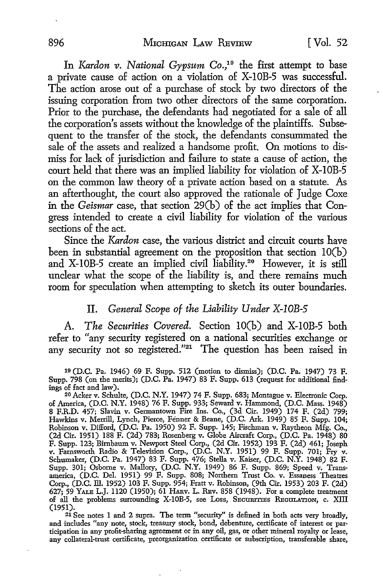In *Kardon v. National Gypsum Co.*,<sup>19</sup> the first attempt to base a private cause of action on a violation of X-IOB-5 was successful. The action arose out of a purchase of stock by two directors of the issuing corporation from two other directors of the same corporation. Prior to the purchase, the defendants had negotiated for a sale of all the corporation's assets without the knowledge of the plaintiffs. Subsequent to the transfer of the stock, the defendants consummated the sale of the assets and realized a handsome profit. On motions to dismiss for lack of jurisdiction and failure to state a cause of action, the court held that there was an implied liability for violation of X-10B-5 on the common law theory of a private action based on a statute. As an afterthought, the court also approved the rationale of Judge Coxe in the *Geismar* case, that section 29(b) of the act implies that Congress intended to create a civil liability for violation of the various sections of the act.

Since the *Kardon* case, the various district and circuit courts have been in substantial agreement on the proposition that section  $10(b)$ and X-IOB-5 create an implied civil liability.20 However, it is still unclear what the scope of the liability is, and there remains much room for speculation when attempting to sketch its outer boundaries.

#### IL *General Scope of the Liability Under X-I0B-5*

A. *The Securities Covered.* Section IO(b) and X-IOB-5 both refer to "any security registered on a national securities exchange or any security not so registered."<sup>21</sup> The question has been raised in

19 (D.C. Pa. 1946) 69 F. Supp. 512 (motion to dismiss); (D.C. Pa. 1947) 73 F. Supp. 798 (on the merits); (D.C. Pa. 1947) 83 F. Supp. 613 (request for additional find· ings of fact and law).

20 Acker v. Schulte, (D.C. N.Y. 1947) 74 F. Supp. 683; Montague v. Electronic Corp. of America, (D.C. N.Y. 1948) 76 F. Supp. 933; Seward v. Hammond, (D.C. Mass. 1948) 8 F.R.D. 457; Slavin v. Germantown Fire Ins. Co., (3d Cir. 1949) 174 F. (2d) 799; Hawkins v. Merrill, Lynch, Pierce, Fenner & Beane, (D.C. Ark. 1949) 85 F. Supp. 104; Robinson v. Difford, (D.C. Pa. 1950) 92 F. Supp. 145; Fischman v. Raytheon Mfg. Co., (2d Cir. 1951) 188 F. (2d) 783; Rosenberg v. Globe Aircraft Corp., (D.C. Pa. 1948) 80 F. Supp. 123; Birnbaum v. Newport Steel Corp., (2d Cir. 1952) 193 F. (2d) 461; Joseph v. Farnsworth Radio & Television Corp., (D.C. N.Y. 1951) 99 F. Supp. 701; Fry v. Schumaker, (D.C. Pa. 1947) 83 F. Supp. 476; Stella v. Kaiser, (D.C. N.Y. 1948) 82 F. Supp. 301; Osborne v. Mallory, (D.C. N.Y. 1949) 86 F. Supp. 869; Speed v. Transamerica, (D.C. Del. 1951) 99 F. Supp. 808; Northern Trust Co. v. Essaness Theatres Corp., (D.C. ill. 1952) 103 F. Supp. 954; Pratt v. Robinson, (9th Cir. 1953) 203 F. (2d) 627; 59 YALE L.J. 1120 (1950); 61 HARv. L. REv. 858 (1948). For a complete treatment of all the problems surrounding X-10B-5, see Loss, SECURITIES REGULATION, c. XIII (1951).

(1951). 21 See notes 1 and 2 supra. The term "security'' is defined in both acts very broadly, and includes "any note, stock, treasury stock, bond, debenture, certificate of interest or participation in any profit-sharing agreement or in any oil, gas, or other mineral royalty or lease, any collateral-trust certificate, preorganization certificate or subscription, transferable share,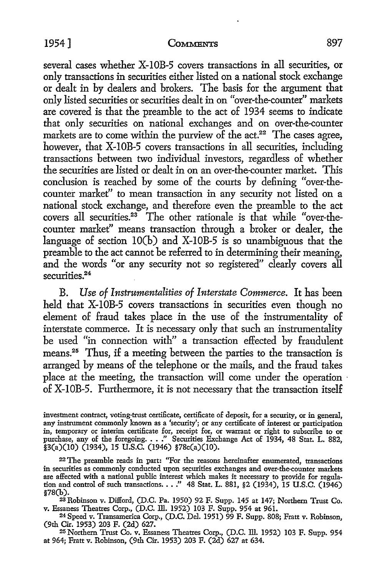#### 1954] COMMENTS 897

several cases whether X-10B-5 covers transactions in all securities, or only transactions in securities either listed on a national stock exchange or dealt in by dealers and brokers. The basis for the argument that only listed securities or securities dealt in on "over-the-counter" markets are covered is that the preamble to the act of 1934 seems to indicate that only securities on national exchanges and on over-the-counter markets are to come within the purview of the  $act.^{22}$ . The cases agree, however, that X-10B-5 covers transactions in all securities, including transactions between two individual investors, regardless of whether the securities are listed or dealt in on an over-the-counter market. This conclusion is reached by some of the courts by defining "over-thecounter market" to mean transaction in any security not listed on a national stock exchange, and therefore even the preamble to the act covers all securities.23 The other rationale is that while "over-thecounter market" means transaction through a broker or dealer, the language of section IO(b) and X-IOB-5 is so unambiguous that the preamble to the act cannot be referred to in determining their meaning, and the words "or any security not so registered" clearly covers all securities.<sup>24</sup>

B. *Use of Instrumentalities of Interstate Commerce.* It has been held that X-10B-5 covers transactions in securities even though no element of fraud takes place in the use of the instrumentality of interstate commerce. It is necessary only that such an instrumentality be used "in connection with" a transaction effected by fraudulent means.25 Thus, if a meeting between the parties to the transaction is arranged by means of the telephone or the mails, and the fraud takes place at the meeting, the transaction will come under the operation of X-IOB-5. Furthermore, it is not necessary that the transaction itself

inveslment contract, voting-trust certificate, certificate of deposit, for a security, or in general, any instrument commonly known as a 'security'; or any certificate of interest or participation in, temporary or interim certificate for, receipt for, or warrant or right to subscribe to or purchase, any of the foregoing .••• " Securities Exchange Act of 1934, 48 Stat. L. 882,  $\hat{\S}$ 3(a)(10) (1934), 15 U.S.C. (1946) §78c(a)(10).

22 The preamble reads in part: ''For the reasons hereinafter enumerated, transactions in securities as commonly conducted upon securities exchanges and over-the-counter markets are affected with a national public interest which makes it necessary to provide for regulation and control of such transactions. . . . " 48 Stat. L. 881, §2 (1934), 15 U.S.C. (1946) §78(b).

<sup>23</sup>Robinson v. Difford, (D.C. Pa. 1950) 92 F. Supp. 145 at 147; Northern Trust Co. v. Essaness Theatres Corp., (D.C. Ill. 1952) 103 F. Supp. 954 at 961. 24 Speed v. Transamerica Corp., (D.C. Del. 1951) 99 P. Supp. 808; Pratt v. Robinson,

(9th Cir. 1953) 203 P. (2d) 627.

25 Northern Trust Co. v. Essaness Theatres Corp., (D.C. Ill. 1952) 103 P. Supp. 954 at 964; Pratt v. Robinson, (9th Cir. 1953) 203 P. (2d) 627 at 634.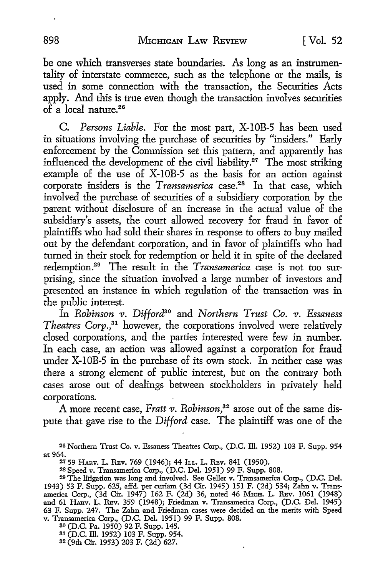be one which transverses state boundaries. As long as an instrumentality of interstate commerce, such as the telephone or the mails, is used in some connection with the transaction, the Securities Acts apply. And this is true even though the transaction involves securities  $\overrightarrow{of}$  a local nature.<sup>26</sup>

C. *Persons Liable.* For the most part, X-IOB-5 has been used in situations involving the purchase of securities by "insiders." Early enforcement by the Commission set this pattern, and. apparently has influenced the development of the civil liability.<sup>27</sup> The most striking example of the use of X-IOB-5 as the basis for an action against corporate insiders is the *Transamerica* case.<sup>28</sup> In that case, which involved the purchase of securities of a subsidiary corporation by the parent without disclosure of an increase in the actual value of the subsidiary's assets, the court allowed recovery for fraud in favor of plaintiffs who had sold their shares in response to offers to buy mailed out by the defendant corporation, and in favor of plaintiffs who had turned in their stock for redemption or held it in spite of the declared redemption.29 The result in the *Transamerica* case is not too surprising, since the situation involved a large number of investors and presented an instance in which regulation of the transaction was in the public interest.

In *Robinson v. Difford30* and *Northern Trust Co. v. Essaness Theatres Corp.,31* however, the corporations involved were relatively closed corporations, and the parties interested were few in number. In each case, an action was allowed against a corporation for fraud under X-IOB-5 in the purchase of its own stock. In neither case was there a strong element of public interest, but on the contrary both cases arose out of dealings between stockholders in privately held corporations.

A more recent case, *Pratt v. Robinson,32* arose out of the same dispute that gave rise to the *Difford* case. The plaintiff was one of the

28 Speed v. Transamerica Corp., (D.C. Del. 1951) 99 F. Supp. 808.

<sup>30</sup>(D.C. Pa. 1950) 92 F. Supp. 145.

31 (D.C. lli. 1952) 103 F. Supp. 954.

32 (9th Cir. 1953) 203 F. (2d) 627.

<sup>26</sup> Northern Trust Co. v. Essaness Theatres Corp., (D.C. lli. 1952) 103 F. Supp. 954 at 964.

<sup>27 59</sup> HARV. L. REV. 769 (1946); 44 ILL. L. REV. 841 (1950).

<sup>29</sup> The litigation was long and involved. See Geller v. Transamerica Corp., (D.C. Del. 1943) 53 F. Supp. 625, affd. per curiam (3d Cir. 1945) 151 F. (2d) 534; Zahn v. Transamerica Corp., (3d Cir. 1947) 162 F. (2d) 36, noted 46 MIcH. L. REv. 1061 (1948) and 61 HARV. L. REV. 359 (1948); Friedman v. Transamerica Corp., (D.C. Del. 1945) 63 F. Supp. 247. The Zahn and Friedman cases were decided on the merits with Speed v. Transamerica Corp., (D.C. Del. 1951) 99 F. Supp. 808.